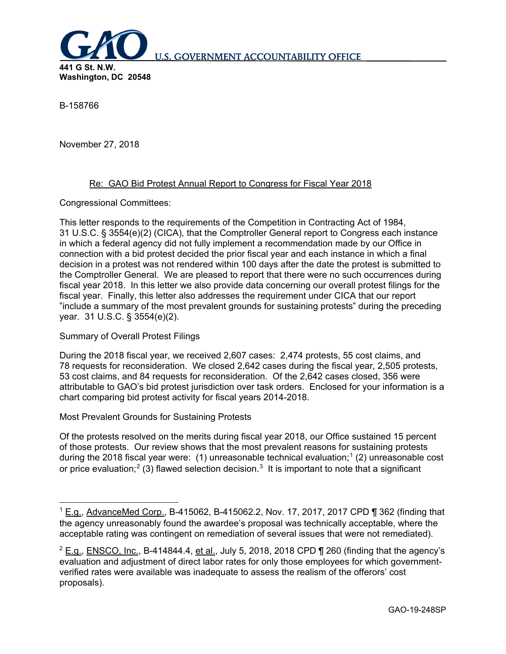

B-158766

November 27, 2018

## Re: GAO Bid Protest Annual Report to Congress for Fiscal Year 2018

Congressional Committees:

This letter responds to the requirements of the Competition in Contracting Act of 1984, 31 U.S.C. § 3554(e)(2) (CICA), that the Comptroller General report to Congress each instance in which a federal agency did not fully implement a recommendation made by our Office in connection with a bid protest decided the prior fiscal year and each instance in which a final decision in a protest was not rendered within 100 days after the date the protest is submitted to the Comptroller General. We are pleased to report that there were no such occurrences during fiscal year 2018. In this letter we also provide data concerning our overall protest filings for the fiscal year. Finally, this letter also addresses the requirement under CICA that our report "include a summary of the most prevalent grounds for sustaining protests" during the preceding year. 31 U.S.C. § 3554(e)(2).

Summary of Overall Protest Filings

During the 2018 fiscal year, we received 2,607 cases: 2,474 protests, 55 cost claims, and 78 requests for reconsideration. We closed 2,642 cases during the fiscal year, 2,505 protests, 53 cost claims, and 84 requests for reconsideration. Of the 2,642 cases closed, 356 were attributable to GAO's bid protest jurisdiction over task orders. Enclosed for your information is a chart comparing bid protest activity for fiscal years 2014-2018.

Most Prevalent Grounds for Sustaining Protests

Of the protests resolved on the merits during fiscal year 2018, our Office sustained 15 percent of those protests. Our review shows that the most prevalent reasons for sustaining protests during the 20[1](#page-0-0)8 fiscal year were: (1) unreasonable technical evaluation;<sup>1</sup> (2) unreasonable cost or price evaluation;<sup>[2](#page-0-1)</sup> ([3](#page-0-2)) flawed selection decision.<sup>3</sup> It is important to note that a significant

<span id="page-0-0"></span> $1$  E.g., AdvanceMed Corp., B-415062, B-415062.2, Nov. 17, 2017, 2017 CPD ¶ 362 (finding that the agency unreasonably found the awardee's proposal was technically acceptable, where the acceptable rating was contingent on remediation of several issues that were not remediated).

<span id="page-0-2"></span><span id="page-0-1"></span> $2$  E.g., ENSCO, Inc., B-414844.4, et al., July 5, 2018, 2018 CPD  $\P$  260 (finding that the agency's evaluation and adjustment of direct labor rates for only those employees for which governmentverified rates were available was inadequate to assess the realism of the offerors' cost proposals).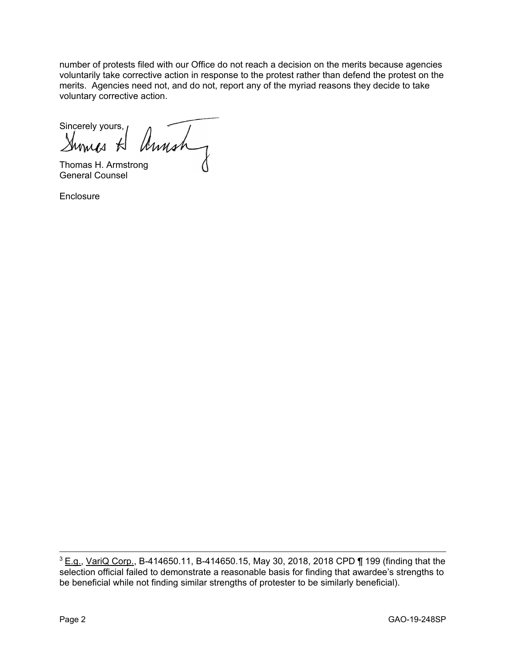number of protests filed with our Office do not reach a decision on the merits because agencies voluntarily take corrective action in response to the protest rather than defend the protest on the merits. Agencies need not, and do not, report any of the myriad reasons they decide to take voluntary corrective action.

Sincerely yours, Annah

Thomas H. Armstrong General Counsel

**Enclosure** 

 $3$  E.g., VariQ Corp., B-414650.11, B-414650.15, May 30, 2018, 2018 CPD ¶ 199 (finding that the selection official failed to demonstrate a reasonable basis for finding that awardee's strengths to be beneficial while not finding similar strengths of protester to be similarly beneficial).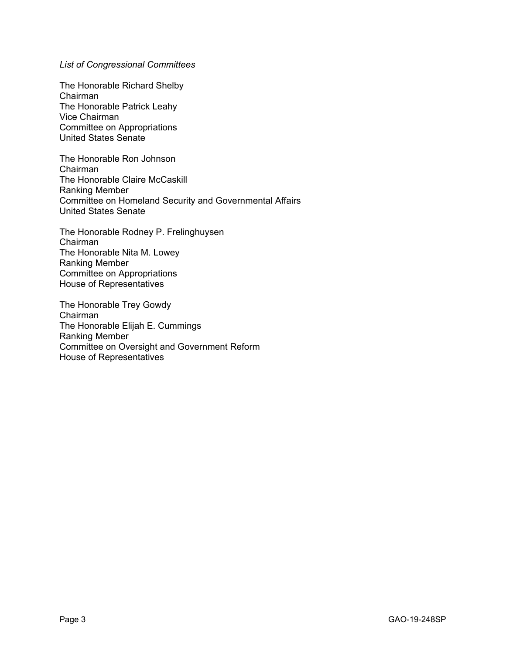*List of Congressional Committees*

The Honorable Richard Shelby Chairman The Honorable Patrick Leahy Vice Chairman Committee on Appropriations United States Senate

The Honorable Ron Johnson Chairman The Honorable Claire McCaskill Ranking Member Committee on Homeland Security and Governmental Affairs United States Senate

The Honorable Rodney P. Frelinghuysen Chairman The Honorable Nita M. Lowey Ranking Member Committee on Appropriations House of Representatives

The Honorable Trey Gowdy Chairman The Honorable Elijah E. Cummings Ranking Member Committee on Oversight and Government Reform House of Representatives